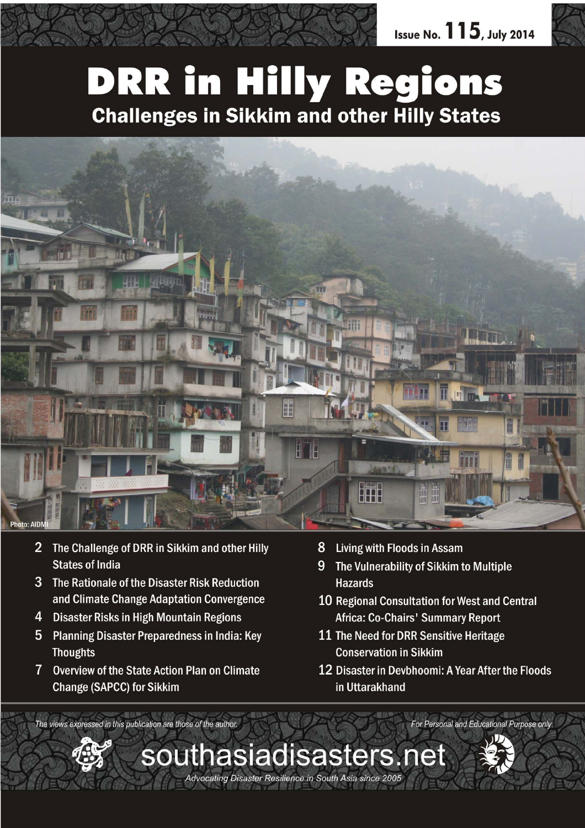

# DRR in Hilly Regions **Challenges in Sikkim and other Hilly States**



southasiadisasters.net

Advocating Disaster Resilience in South Asia since 2005

- The Challenge of DRR in Sikkim and other Hilly  $\overline{2}$ **States of India**
- 3 The Rationale of the Disaster Risk Reduction and Climate Change Adaptation Convergence
- 4 Disaster Risks in High Mountain Regions
- 5 Planning Disaster Preparedness in India: Key **Thoughts**
- $\overline{7}$ Overview of the State Action Plan on Climate **Change (SAPCC) for Sikkim**
- Living with Floods in Assam 8
- 9 The Vulnerability of Sikkim to Multiple **Hazards**
- 10 Regional Consultation for West and Central **Africa: Co-Chairs' Summary Report**
- 11 The Need for DRR Sensitive Heritage **Conservation in Sikkim**
- 12 Disaster in Devbhoomi: A Year After the Floods in Uttarakhand

For Personal and Educational Purpose only

The views expressed in this publication are those of the author.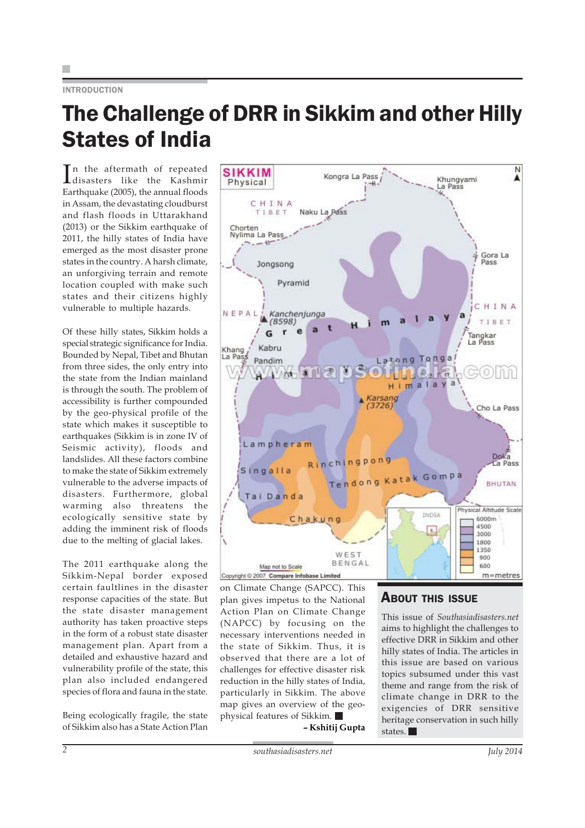#### INTRODUCTION

### The Challenge of DRR in Sikkim and other Hilly States of India

In the aftermath of repeated<br>disasters like the Kashmir disasters like the Kashmir Earthquake (2005), the annual floods in Assam, the devastating cloudburst and flash floods in Uttarakhand (2013) or the Sikkim earthquake of 2011, the hilly states of India have emerged as the most disaster prone states in the country. A harsh climate, an unforgiving terrain and remote location coupled with make such states and their citizens highly vulnerable to multiple hazards.

Of these hilly states, Sikkim holds a special strategic significance for India. Bounded by Nepal, Tibet and Bhutan from three sides, the only entry into the state from the Indian mainland is through the south. The problem of accessibility is further compounded by the geo-physical profile of the state which makes it susceptible to earthquakes (Sikkim is in zone IV of Seismic activity), floods and landslides. All these factors combine to make the state of Sikkim extremely vulnerable to the adverse impacts of disasters. Furthermore, global warming also threatens the ecologically sensitive state by adding the imminent risk of floods due to the melting of glacial lakes.

The 2011 earthquake along the Sikkim-Nepal border exposed certain faultlines in the disaster response capacities of the state. But the state disaster management authority has taken proactive steps in the form of a robust state disaster management plan. Apart from a detailed and exhaustive hazard and vulnerability profile of the state, this plan also included endangered species of flora and fauna in the state.

Being ecologically fragile, the state of Sikkim also has a State Action Plan



on Climate Change (SAPCC). This plan gives impetus to the National Action Plan on Climate Change (NAPCC) by focusing on the necessary interventions needed in the state of Sikkim. Thus, it is observed that there are a lot of challenges for effective disaster risk reduction in the hilly states of India, particularly in Sikkim. The above map gives an overview of the geophysical features of Sikkim. **– Kshitij Gupta**

### ABOUT THIS ISSUE

This issue of *Southasiadisasters.net* aims to highlight the challenges to effective DRR in Sikkim and other hilly states of India. The articles in this issue are based on various topics subsumed under this vast theme and range from the risk of climate change in DRR to the exigencies of DRR sensitive heritage conservation in such hilly states.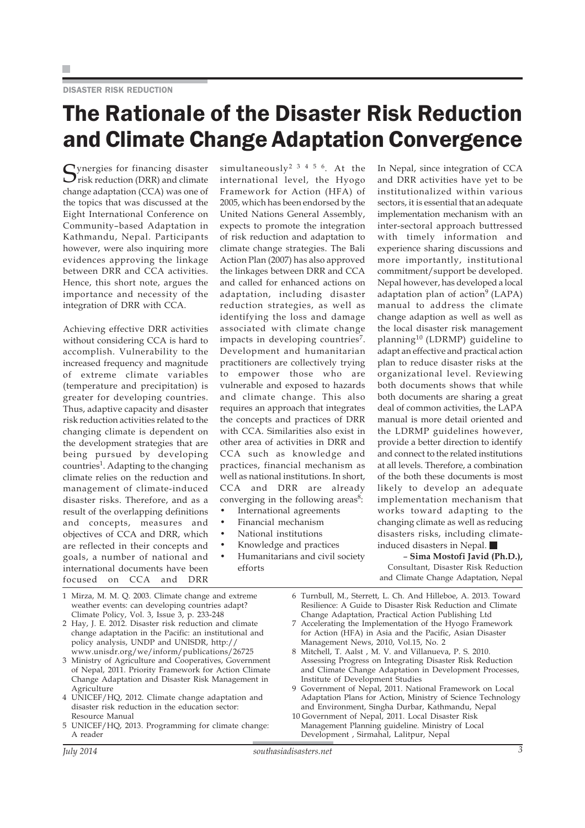## The Rationale of the Disaster Risk Reduction and Climate Change Adaptation Convergence

Synergies for financing disaster<br>Frisk reduction (DRR) and climate change adaptation (CCA) was one of the topics that was discussed at the Eight International Conference on Community–based Adaptation in Kathmandu, Nepal. Participants however, were also inquiring more evidences approving the linkage between DRR and CCA activities. Hence, this short note, argues the importance and necessity of the integration of DRR with CCA.

Achieving effective DRR activities without considering CCA is hard to accomplish. Vulnerability to the increased frequency and magnitude of extreme climate variables (temperature and precipitation) is greater for developing countries. Thus, adaptive capacity and disaster risk reduction activities related to the changing climate is dependent on the development strategies that are being pursued by developing countries<sup>1</sup>. Adapting to the changing climate relies on the reduction and management of climate-induced disaster risks. Therefore, and as a result of the overlapping definitions and concepts, measures and objectives of CCA and DRR, which are reflected in their concepts and goals, a number of national and international documents have been focused on CCA and DRR

simultaneously<sup>2 3 4 5 6</sup>. At the international level, the Hyogo Framework for Action (HFA) of 2005, which has been endorsed by the United Nations General Assembly, expects to promote the integration of risk reduction and adaptation to climate change strategies. The Bali Action Plan (2007) has also approved the linkages between DRR and CCA and called for enhanced actions on adaptation, including disaster reduction strategies, as well as identifying the loss and damage associated with climate change impacts in developing countries<sup>7</sup>. Development and humanitarian practitioners are collectively trying to empower those who are vulnerable and exposed to hazards and climate change. This also requires an approach that integrates the concepts and practices of DRR with CCA. Similarities also exist in other area of activities in DRR and CCA such as knowledge and practices, financial mechanism as well as national institutions. In short, CCA and DRR are already converging in the following  $a$ reas $8$ :

- International agreements
- Financial mechanism
- National institutions
- Knowledge and practices
- Humanitarians and civil society efforts

In Nepal, since integration of CCA and DRR activities have yet to be institutionalized within various sectors, it is essential that an adequate implementation mechanism with an inter-sectoral approach buttressed with timely information and experience sharing discussions and more importantly, institutional commitment/support be developed. Nepal however, has developed a local adaptation plan of action<sup>9</sup> (LAPA) manual to address the climate change adaption as well as well as the local disaster risk management planning10 (LDRMP) guideline to adapt an effective and practical action plan to reduce disaster risks at the organizational level. Reviewing both documents shows that while both documents are sharing a great deal of common activities, the LAPA manual is more detail oriented and the LDRMP guidelines however, provide a better direction to identify and connect to the related institutions at all levels. Therefore, a combination of the both these documents is most likely to develop an adequate implementation mechanism that works toward adapting to the changing climate as well as reducing disasters risks, including climateinduced disasters in Nepal.

#### – **Sima Mostofi Javid (Ph.D.),** Consultant, Disaster Risk Reduction and Climate Change Adaptation, Nepal

6 Turnbull, M., Sterrett, L. Ch. And Hilleboe, A. 2013. Toward Resilience: A Guide to Disaster Risk Reduction and Climate Change Adaptation, Practical Action Publishing Ltd 7 Accelerating the Implementation of the Hyogo Framework for Action (HFA) in Asia and the Pacific, Asian Disaster

8 Mitchell, T. Aalst , M. V. and Villanueva, P. S. 2010. Assessing Progress on Integrating Disaster Risk Reduction and Climate Change Adaptation in Development Processes,

9 Government of Nepal, 2011. National Framework on Local Adaptation Plans for Action, Ministry of Science Technology and Environment, Singha Durbar, Kathmandu, Nepal 10 Government of Nepal, 2011. Local Disaster Risk Management Planning guideline. Ministry of Local Development , Sirmahal, Lalitpur, Nepal

Management News, 2010, Vol.15, No. 2

Institute of Development Studies

- 1 Mirza, M. M. Q. 2003. Climate change and extreme weather events: can developing countries adapt? Climate Policy, Vol. 3, Issue 3, p. 233-248
- 2 Hay, J. E. 2012. Disaster risk reduction and climate change adaptation in the Pacific: an institutional and policy analysis, UNDP and UNISDR, http:// www.unisdr.org/we/inform/publications/26725
- 3 Ministry of Agriculture and Cooperatives, Government of Nepal, 2011. Priority Framework for Action Climate Change Adaptation and Disaster Risk Management in Agriculture
- 4 UNICEF/HQ, 2012. Climate change adaptation and disaster risk reduction in the education sector: Resource Manual
- 5 UNICEF/HQ, 2013. Programming for climate change: A reader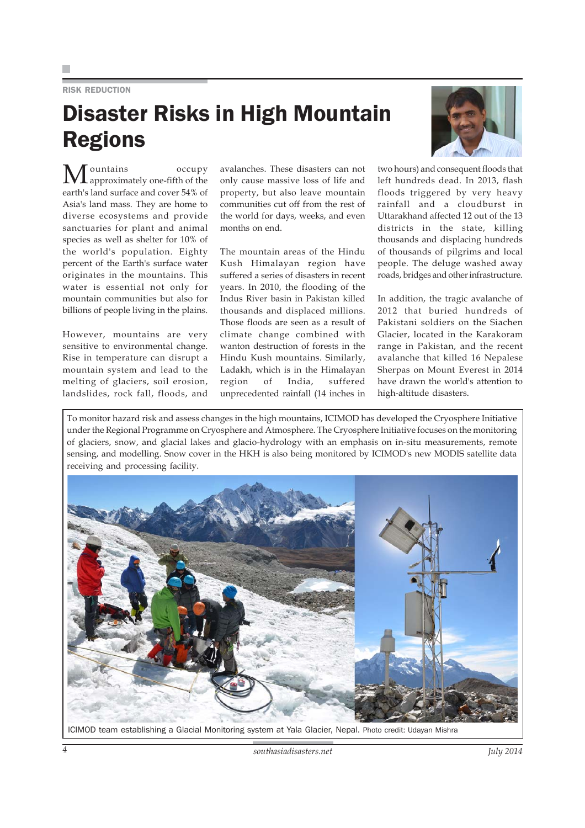#### RISK REDUCTION

### Disaster Risks in High Mountain Regions

 $\mathbf M$  ountains occupy earth's land surface and cover 54% of Asia's land mass. They are home to diverse ecosystems and provide sanctuaries for plant and animal species as well as shelter for 10% of the world's population. Eighty percent of the Earth's surface water originates in the mountains. This water is essential not only for mountain communities but also for billions of people living in the plains.

However, mountains are very sensitive to environmental change. Rise in temperature can disrupt a mountain system and lead to the melting of glaciers, soil erosion, landslides, rock fall, floods, and

avalanches. These disasters can not only cause massive loss of life and property, but also leave mountain communities cut off from the rest of the world for days, weeks, and even months on end.

The mountain areas of the Hindu Kush Himalayan region have suffered a series of disasters in recent years. In 2010, the flooding of the Indus River basin in Pakistan killed thousands and displaced millions. Those floods are seen as a result of climate change combined with wanton destruction of forests in the Hindu Kush mountains. Similarly, Ladakh, which is in the Himalayan region of India, suffered unprecedented rainfall (14 inches in



two hours) and consequent floods that left hundreds dead. In 2013, flash floods triggered by very heavy rainfall and a cloudburst in Uttarakhand affected 12 out of the 13 districts in the state, killing thousands and displacing hundreds of thousands of pilgrims and local people. The deluge washed away roads, bridges and other infrastructure.

In addition, the tragic avalanche of 2012 that buried hundreds of Pakistani soldiers on the Siachen Glacier, located in the Karakoram range in Pakistan, and the recent avalanche that killed 16 Nepalese Sherpas on Mount Everest in 2014 have drawn the world's attention to high-altitude disasters.

To monitor hazard risk and assess changes in the high mountains, ICIMOD has developed the Cryosphere Initiative under the Regional Programme on Cryosphere and Atmosphere. The Cryosphere Initiative focuses on the monitoring of glaciers, snow, and glacial lakes and glacio-hydrology with an emphasis on in-situ measurements, remote sensing, and modelling. Snow cover in the HKH is also being monitored by ICIMOD's new MODIS satellite data receiving and processing facility.



ICIMOD team establishing a Glacial Monitoring system at Yala Glacier, Nepal. Photo credit: Udayan Mishra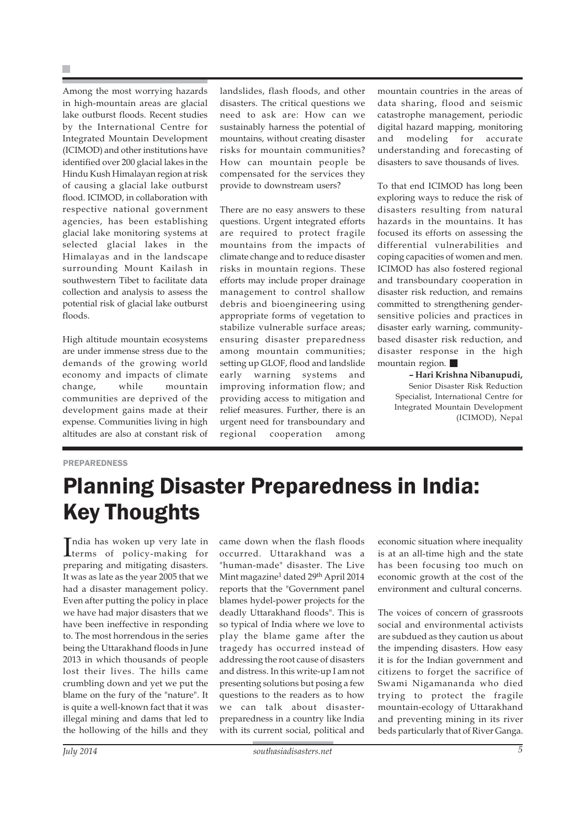Among the most worrying hazards in high-mountain areas are glacial lake outburst floods. Recent studies by the International Centre for Integrated Mountain Development (ICIMOD) and other institutions have identified over 200 glacial lakes in the Hindu Kush Himalayan region at risk of causing a glacial lake outburst flood. ICIMOD, in collaboration with respective national government agencies, has been establishing glacial lake monitoring systems at selected glacial lakes in the Himalayas and in the landscape surrounding Mount Kailash in southwestern Tibet to facilitate data collection and analysis to assess the potential risk of glacial lake outburst floods.

High altitude mountain ecosystems are under immense stress due to the demands of the growing world economy and impacts of climate change, while mountain communities are deprived of the development gains made at their expense. Communities living in high altitudes are also at constant risk of

landslides, flash floods, and other disasters. The critical questions we need to ask are: How can we sustainably harness the potential of mountains, without creating disaster risks for mountain communities? How can mountain people be compensated for the services they provide to downstream users?

There are no easy answers to these questions. Urgent integrated efforts are required to protect fragile mountains from the impacts of climate change and to reduce disaster risks in mountain regions. These efforts may include proper drainage management to control shallow debris and bioengineering using appropriate forms of vegetation to stabilize vulnerable surface areas; ensuring disaster preparedness among mountain communities; setting up GLOF, flood and landslide early warning systems and improving information flow; and providing access to mitigation and relief measures. Further, there is an urgent need for transboundary and regional cooperation among

mountain countries in the areas of data sharing, flood and seismic catastrophe management, periodic digital hazard mapping, monitoring and modeling for accurate understanding and forecasting of disasters to save thousands of lives.

To that end ICIMOD has long been exploring ways to reduce the risk of disasters resulting from natural hazards in the mountains. It has focused its efforts on assessing the differential vulnerabilities and coping capacities of women and men. ICIMOD has also fostered regional and transboundary cooperation in disaster risk reduction, and remains committed to strengthening gendersensitive policies and practices in disaster early warning, communitybased disaster risk reduction, and disaster response in the high mountain region.

> **– Hari Krishna Nibanupudi,** Senior Disaster Risk Reduction Specialist, International Centre for Integrated Mountain Development (ICIMOD), Nepal

#### PREPAREDNESS

## Planning Disaster Preparedness in India: Key Thoughts

India has woken up very late in<br>Iterms of policy-making for terms of policy-making for preparing and mitigating disasters. It was as late as the year 2005 that we had a disaster management policy. Even after putting the policy in place we have had major disasters that we have been ineffective in responding to. The most horrendous in the series being the Uttarakhand floods in June 2013 in which thousands of people lost their lives. The hills came crumbling down and yet we put the blame on the fury of the "nature". It is quite a well-known fact that it was illegal mining and dams that led to the hollowing of the hills and they came down when the flash floods occurred. Uttarakhand was a "human-made" disaster. The Live Mint magazine<sup>1</sup> dated 29<sup>th</sup> April 2014 reports that the "Government panel blames hydel-power projects for the deadly Uttarakhand floods". This is so typical of India where we love to play the blame game after the tragedy has occurred instead of addressing the root cause of disasters and distress. In this write-up I am not presenting solutions but posing a few questions to the readers as to how we can talk about disasterpreparedness in a country like India with its current social, political and

economic situation where inequality is at an all-time high and the state has been focusing too much on economic growth at the cost of the environment and cultural concerns.

The voices of concern of grassroots social and environmental activists are subdued as they caution us about the impending disasters. How easy it is for the Indian government and citizens to forget the sacrifice of Swami Nigamananda who died trying to protect the fragile mountain-ecology of Uttarakhand and preventing mining in its river beds particularly that of River Ganga.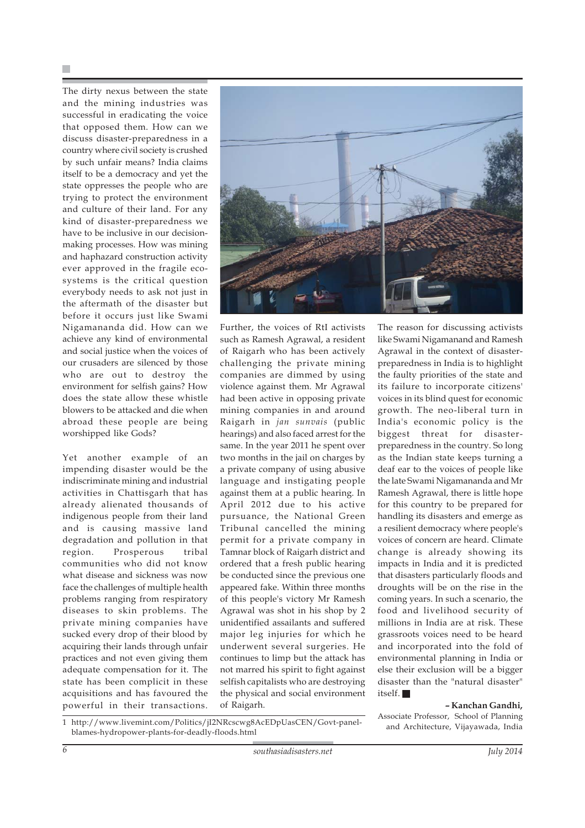The dirty nexus between the state and the mining industries was successful in eradicating the voice that opposed them. How can we discuss disaster-preparedness in a country where civil society is crushed by such unfair means? India claims itself to be a democracy and yet the state oppresses the people who are trying to protect the environment and culture of their land. For any kind of disaster-preparedness we have to be inclusive in our decisionmaking processes. How was mining and haphazard construction activity ever approved in the fragile ecosystems is the critical question everybody needs to ask not just in the aftermath of the disaster but before it occurs just like Swami Nigamananda did. How can we achieve any kind of environmental and social justice when the voices of our crusaders are silenced by those who are out to destroy the environment for selfish gains? How does the state allow these whistle blowers to be attacked and die when abroad these people are being worshipped like Gods?

Yet another example of an impending disaster would be the indiscriminate mining and industrial activities in Chattisgarh that has already alienated thousands of indigenous people from their land and is causing massive land degradation and pollution in that region. Prosperous tribal communities who did not know what disease and sickness was now face the challenges of multiple health problems ranging from respiratory diseases to skin problems. The private mining companies have sucked every drop of their blood by acquiring their lands through unfair practices and not even giving them adequate compensation for it. The state has been complicit in these acquisitions and has favoured the powerful in their transactions.



Further, the voices of RtI activists such as Ramesh Agrawal, a resident of Raigarh who has been actively challenging the private mining companies are dimmed by using violence against them. Mr Agrawal had been active in opposing private mining companies in and around Raigarh in *jan sunvais* (public hearings) and also faced arrest for the same. In the year 2011 he spent over two months in the jail on charges by a private company of using abusive language and instigating people against them at a public hearing. In April 2012 due to his active pursuance, the National Green Tribunal cancelled the mining permit for a private company in Tamnar block of Raigarh district and ordered that a fresh public hearing be conducted since the previous one appeared fake. Within three months of this people's victory Mr Ramesh Agrawal was shot in his shop by 2 unidentified assailants and suffered major leg injuries for which he underwent several surgeries. He continues to limp but the attack has not marred his spirit to fight against selfish capitalists who are destroying the physical and social environment of Raigarh.

The reason for discussing activists like Swami Nigamanand and Ramesh Agrawal in the context of disasterpreparedness in India is to highlight the faulty priorities of the state and its failure to incorporate citizens' voices in its blind quest for economic growth. The neo-liberal turn in India's economic policy is the biggest threat for disasterpreparedness in the country. So long as the Indian state keeps turning a deaf ear to the voices of people like the late Swami Nigamananda and Mr Ramesh Agrawal, there is little hope for this country to be prepared for handling its disasters and emerge as a resilient democracy where people's voices of concern are heard. Climate change is already showing its impacts in India and it is predicted that disasters particularly floods and droughts will be on the rise in the coming years. In such a scenario, the food and livelihood security of millions in India are at risk. These grassroots voices need to be heard and incorporated into the fold of environmental planning in India or else their exclusion will be a bigger disaster than the "natural disaster" itself.

#### **– Kanchan Gandhi,**

Associate Professor, School of Planning

and Architecture, Vijayawada, India 1 http://www.livemint.com/Politics/jI2NRcscwg8AcEDpUasCEN/Govt-panelblames-hydropower-plants-for-deadly-floods.html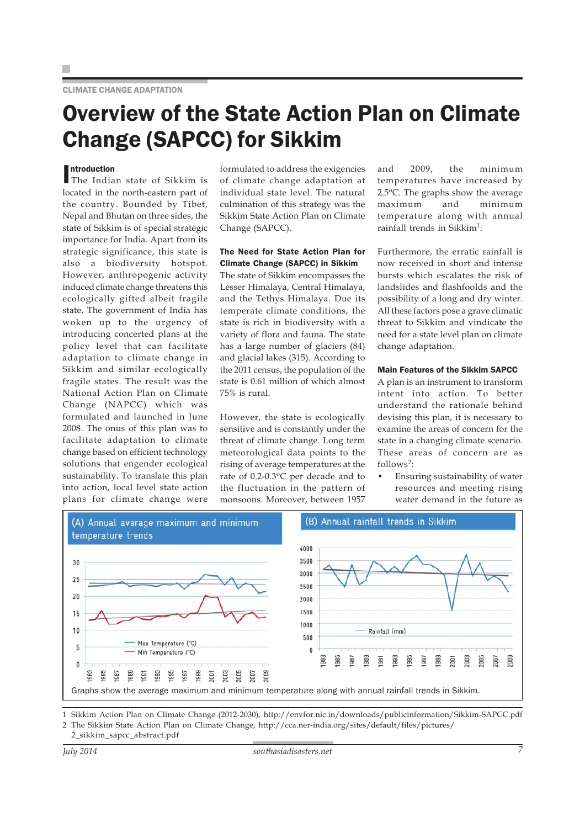#### CLIMATE CHANGE ADAPTATION

### Overview of the State Action Plan on Climate Change (SAPCC) for Sikkim

Introduction<br>The India The Indian state of Sikkim is located in the north-eastern part of the country. Bounded by Tibet, Nepal and Bhutan on three sides, the state of Sikkim is of special strategic importance for India. Apart from its strategic significance, this state is also a biodiversity hotspot. However, anthropogenic activity induced climate change threatens this ecologically gifted albeit fragile state. The government of India has woken up to the urgency of introducing concerted plans at the policy level that can facilitate adaptation to climate change in Sikkim and similar ecologically fragile states. The result was the National Action Plan on Climate Change (NAPCC) which was formulated and launched in June 2008. The onus of this plan was to facilitate adaptation to climate change based on efficient technology solutions that engender ecological sustainability. To translate this plan into action, local level state action plans for climate change were

formulated to address the exigencies of climate change adaptation at individual state level. The natural culmination of this strategy was the Sikkim State Action Plan on Climate Change (SAPCC).

#### The Need for State Action Plan for Climate Change (SAPCC) in Sikkim

The state of Sikkim encompasses the Lesser Himalaya, Central Himalaya, and the Tethys Himalaya. Due its temperate climate conditions, the state is rich in biodiversity with a variety of flora and fauna. The state has a large number of glaciers (84) and glacial lakes (315). According to the 2011 census, the population of the state is 0.61 million of which almost 75% is rural.

However, the state is ecologically sensitive and is constantly under the threat of climate change. Long term meteorological data points to the rising of average temperatures at the rate of 0.2-0.3°C per decade and to the fluctuation in the pattern of monsoons. Moreover, between 1957

and 2009, the minimum temperatures have increased by 2.5 $\degree$ C. The graphs show the average maximum and minimum temperature along with annual rainfall trends in Sikkim<sup>1</sup>:

Furthermore, the erratic rainfall is now received in short and intense bursts which escalates the risk of landslides and flashfoolds and the possibility of a long and dry winter. All these factors pose a grave climatic threat to Sikkim and vindicate the need for a state level plan on climate change adaptation.

#### Main Features of the Sikkim SAPCC

A plan is an instrument to transform intent into action. To better understand the rationale behind devising this plan, it is necessary to examine the areas of concern for the state in a changing climate scenario. These areas of concern are as follows2:

• Ensuring sustainability of water resources and meeting rising water demand in the future as



1 Sikkim Action Plan on Climate Change (2012-2030), http://envfor.nic.in/downloads/publicinformation/Sikkim-SAPCC.pdf 2 The Sikkim State Action Plan on Climate Change, http://cca.ner-india.org/sites/default/files/pictures/

2\_sikkim\_sapcc\_abstract.pdf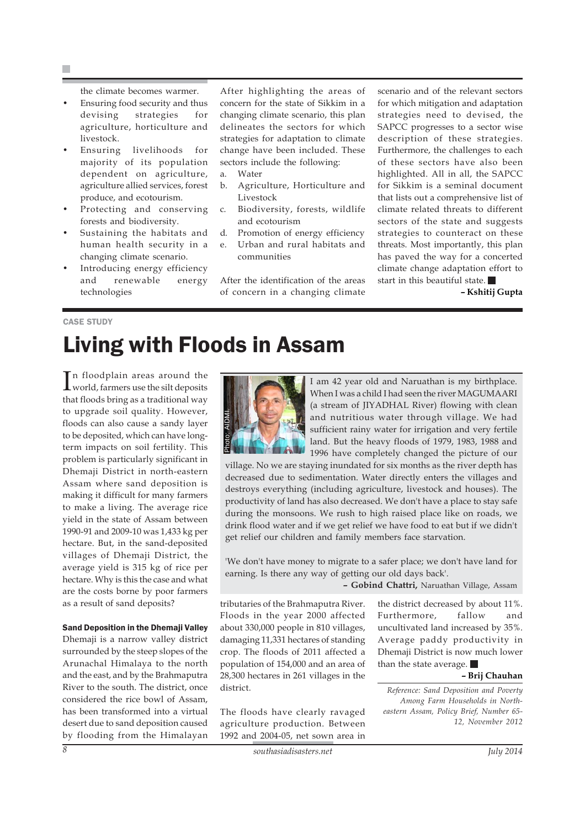the climate becomes warmer.

- Ensuring food security and thus devising strategies for agriculture, horticulture and livestock.
- Ensuring livelihoods for majority of its population dependent on agriculture, agriculture allied services, forest produce, and ecotourism.
- Protecting and conserving forests and biodiversity.
- Sustaining the habitats and human health security in a changing climate scenario.
- Introducing energy efficiency and renewable energy technologies

After highlighting the areas of concern for the state of Sikkim in a changing climate scenario, this plan delineates the sectors for which strategies for adaptation to climate change have been included. These sectors include the following:

- a. Water
- b. Agriculture, Horticulture and Livestock
- c. Biodiversity, forests, wildlife and ecotourism
- d. Promotion of energy efficiency e. Urban and rural habitats and communities

After the identification of the areas of concern in a changing climate

scenario and of the relevant sectors for which mitigation and adaptation strategies need to devised, the SAPCC progresses to a sector wise description of these strategies. Furthermore, the challenges to each of these sectors have also been highlighted. All in all, the SAPCC for Sikkim is a seminal document that lists out a comprehensive list of climate related threats to different sectors of the state and suggests strategies to counteract on these threats. Most importantly, this plan has paved the way for a concerted climate change adaptation effort to start in this beautiful state.

**– Kshitij Gupta**

#### CASE STUDY

## Living with Floods in Assam

In floodplain areas around the<br>world, farmers use the silt deposits n floodplain areas around the that floods bring as a traditional way to upgrade soil quality. However, floods can also cause a sandy layer to be deposited, which can have longterm impacts on soil fertility. This problem is particularly significant in Dhemaji District in north-eastern Assam where sand deposition is making it difficult for many farmers to make a living. The average rice yield in the state of Assam between 1990-91 and 2009-10 was 1,433 kg per hectare. But, in the sand-deposited villages of Dhemaji District, the average yield is 315 kg of rice per hectare. Why is this the case and what are the costs borne by poor farmers as a result of sand deposits?

#### Sand Deposition in the Dhemaji Valley

Dhemaji is a narrow valley district surrounded by the steep slopes of the Arunachal Himalaya to the north and the east, and by the Brahmaputra River to the south. The district, once considered the rice bowl of Assam, has been transformed into a virtual desert due to sand deposition caused by flooding from the Himalayan



I am 42 year old and Naruathan is my birthplace. When I was a child I had seen the river MAGUMAARI (a stream of JIYADHAL River) flowing with clean and nutritious water through village. We had sufficient rainy water for irrigation and very fertile land. But the heavy floods of 1979, 1983, 1988 and 1996 have completely changed the picture of our

village. No we are staying inundated for six months as the river depth has decreased due to sedimentation. Water directly enters the villages and destroys everything (including agriculture, livestock and houses). The productivity of land has also decreased. We don't have a place to stay safe during the monsoons. We rush to high raised place like on roads, we drink flood water and if we get relief we have food to eat but if we didn't get relief our children and family members face starvation.

'We don't have money to migrate to a safer place; we don't have land for earning. Is there any way of getting our old days back'.

**– Gobind Chattri,** Naruathan Village, Assam

tributaries of the Brahmaputra River. Floods in the year 2000 affected about 330,000 people in 810 villages, damaging 11,331 hectares of standing crop. The floods of 2011 affected a population of 154,000 and an area of 28,300 hectares in 261 villages in the district.

The floods have clearly ravaged agriculture production. Between 1992 and 2004-05, net sown area in

the district decreased by about 11%. Furthermore, fallow and uncultivated land increased by 35%. Average paddy productivity in Dhemaji District is now much lower than the state average.

#### **– Brij Chauhan**

*Reference: Sand Deposition and Poverty Among Farm Households in Northeastern Assam, Policy Brief, Number 65- 12, November 2012*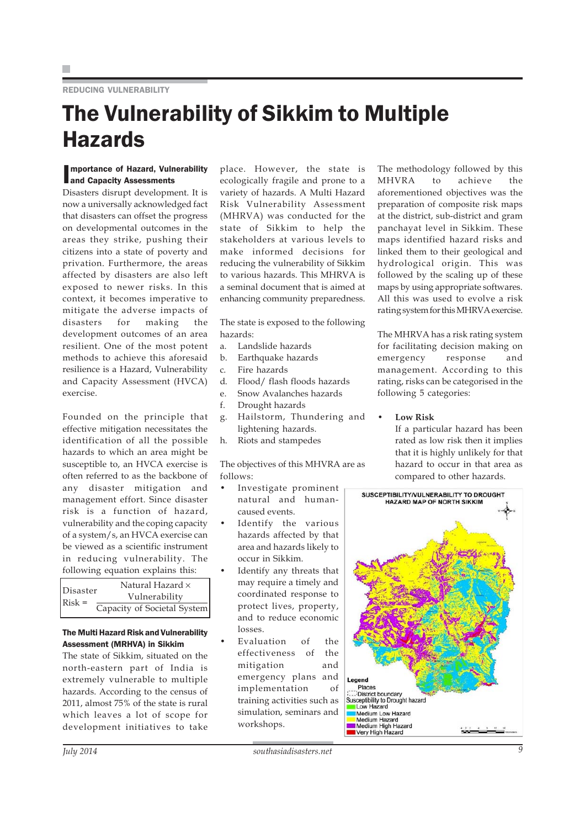REDUCING VULNERABILITY

### The Vulnerability of Sikkim to Multiple Hazards

#### **Importance of Hazard, Vulnet**<br>and Capacity Assessments **nportance of Hazard, Vulnerability**

Disasters disrupt development. It is now a universally acknowledged fact that disasters can offset the progress on developmental outcomes in the areas they strike, pushing their citizens into a state of poverty and privation. Furthermore, the areas affected by disasters are also left exposed to newer risks. In this context, it becomes imperative to mitigate the adverse impacts of disasters for making the development outcomes of an area resilient. One of the most potent methods to achieve this aforesaid resilience is a Hazard, Vulnerability and Capacity Assessment (HVCA) exercise.

Founded on the principle that effective mitigation necessitates the identification of all the possible hazards to which an area might be susceptible to, an HVCA exercise is often referred to as the backbone of any disaster mitigation and management effort. Since disaster risk is a function of hazard, vulnerability and the coping capacity of a system/s, an HVCA exercise can be viewed as a scientific instrument in reducing vulnerability. The following equation explains this:

| Disaster<br> Risk = | Natural Hazard ×<br>Vulnerability |
|---------------------|-----------------------------------|
|                     | Capacity of Societal System       |

#### The Multi Hazard Risk and Vulnerability Assessment (MRHVA) in Sikkim

The state of Sikkim, situated on the north-eastern part of India is extremely vulnerable to multiple hazards. According to the census of 2011, almost 75% of the state is rural which leaves a lot of scope for development initiatives to take place. However, the state is ecologically fragile and prone to a variety of hazards. A Multi Hazard Risk Vulnerability Assessment (MHRVA) was conducted for the state of Sikkim to help the stakeholders at various levels to make informed decisions for reducing the vulnerability of Sikkim to various hazards. This MHRVA is a seminal document that is aimed at enhancing community preparedness.

The state is exposed to the following hazards:

- a. Landslide hazards
- b. Earthquake hazards
- c. Fire hazards
- d. Flood/ flash floods hazards
- e. Snow Avalanches hazards
- f. Drought hazards
- g. Hailstorm, Thundering and lightening hazards.
- h. Riots and stampedes

The objectives of this MHVRA are as follows:

- Investigate prominent natural and humancaused events.
- Identify the various hazards affected by that area and hazards likely to occur in Sikkim.
- Identify any threats that may require a timely and coordinated response to protect lives, property, and to reduce economic losses.
- Evaluation of the effectiveness of the mitigation and emergency plans and implementation of training activities such as simulation, seminars and workshops.

The methodology followed by this MHVRA to achieve the aforementioned objectives was the preparation of composite risk maps at the district, sub-district and gram panchayat level in Sikkim. These maps identified hazard risks and linked them to their geological and hydrological origin. This was followed by the scaling up of these maps by using appropriate softwares. All this was used to evolve a risk rating system for this MHRVA exercise.

The MHRVA has a risk rating system for facilitating decision making on emergency response and management. According to this rating, risks can be categorised in the following 5 categories:

• **Low Risk**

If a particular hazard has been rated as low risk then it implies that it is highly unlikely for that hazard to occur in that area as compared to other hazards.

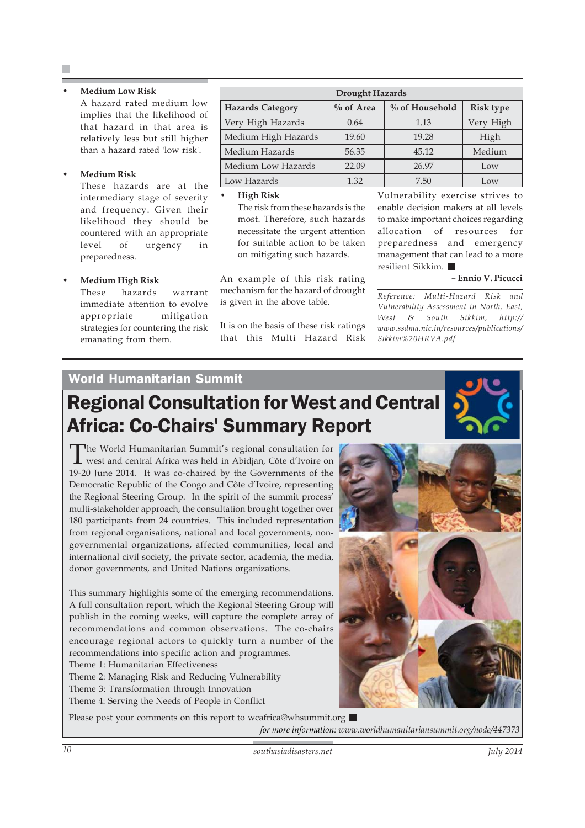#### • **Medium Low Risk**

A hazard rated medium low implies that the likelihood of that hazard in that area is relatively less but still higher than a hazard rated 'low risk'.

#### • **Medium Risk**

These hazards are at the intermediary stage of severity and frequency. Given their likelihood they should be countered with an appropriate level of urgency in preparedness.

#### • **Medium High Risk**

These hazards warrant immediate attention to evolve appropriate mitigation strategies for countering the risk emanating from them.

| <b>Drought Hazards</b>  |              |                |                  |  |
|-------------------------|--------------|----------------|------------------|--|
| <b>Hazards Category</b> | $\%$ of Area | % of Household | <b>Risk type</b> |  |
| Very High Hazards       | 0.64         | 1.13           | Very High        |  |
| Medium High Hazards     | 19.60        | 19.28          | High             |  |
| Medium Hazards          | 56.35        | 45.12          | Medium           |  |
| Medium Low Hazards      | 22.09        | 26.97          | Low              |  |
| Low Hazards             | 1.32         | 7.50           | Low <sub>1</sub> |  |

#### • **High Risk**

The risk from these hazards is the most. Therefore, such hazards necessitate the urgent attention for suitable action to be taken on mitigating such hazards.

An example of this risk rating mechanism for the hazard of drought is given in the above table.

It is on the basis of these risk ratings that this Multi Hazard Risk

Vulnerability exercise strives to enable decision makers at all levels to make important choices regarding allocation of resources for preparedness and emergency management that can lead to a more resilient Sikkim.

#### **– Ennio V. Picucci**

*Reference: Multi-Hazard Risk and Vulnerability Assessment in North, East, West & South Sikkim, http:// www.ssdma.nic.in/resources/publications/ Sikkim%20HRVA.pdf*

### World Humanitarian Summit

### Regional Consultation for West and Central Africa: Co-Chairs' Summary Report

The World Humanitarian Summit's regional consultation for west and central Africa was held in Abidjan, Côte d'Ivoire on 19-20 June 2014. It was co-chaired by the Governments of the Democratic Republic of the Congo and Côte d'Ivoire, representing the Regional Steering Group. In the spirit of the summit process' multi-stakeholder approach, the consultation brought together over 180 participants from 24 countries. This included representation from regional organisations, national and local governments, nongovernmental organizations, affected communities, local and international civil society, the private sector, academia, the media, donor governments, and United Nations organizations.

This summary highlights some of the emerging recommendations. A full consultation report, which the Regional Steering Group will publish in the coming weeks, will capture the complete array of recommendations and common observations. The co-chairs encourage regional actors to quickly turn a number of the recommendations into specific action and programmes.

Theme 1: Humanitarian Effectiveness

Theme 2: Managing Risk and Reducing Vulnerability

Theme 3: Transformation through Innovation

Theme 4: Serving the Needs of People in Conflict

Please post your comments on this report to wcafrica@whsummit.org

*for more information: www.worldhumanitariansummit.org/node/447373*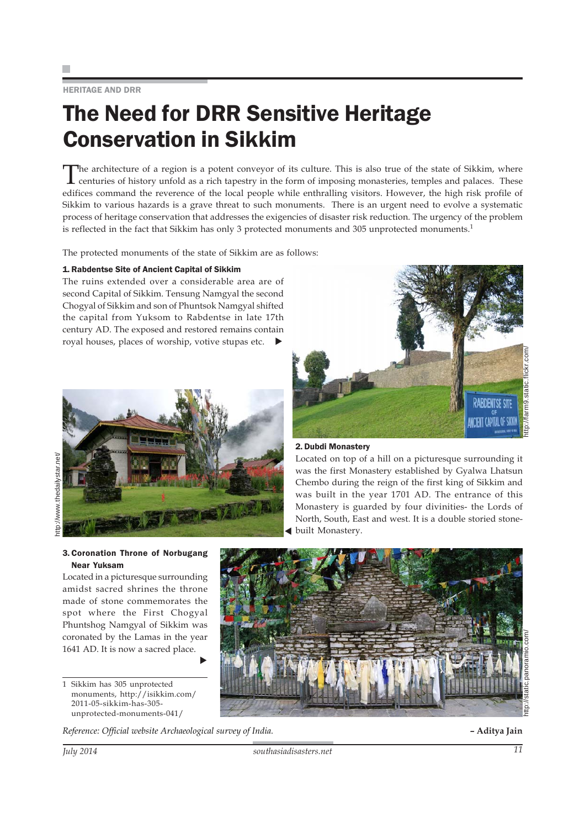#### HERITAGE AND DRR

### The Need for DRR Sensitive Heritage Conservation in Sikkim

The architecture of a region is a potent conveyor of its culture. This is also true of the state of Sikkim, where<br>centuries of history unfold as a rich tapestry in the form of imposing monasteries, temples and palaces. The edifices command the reverence of the local people while enthralling visitors. However, the high risk profile of Sikkim to various hazards is a grave threat to such monuments. There is an urgent need to evolve a systematic process of heritage conservation that addresses the exigencies of disaster risk reduction. The urgency of the problem is reflected in the fact that Sikkim has only 3 protected monuments and 305 unprotected monuments.<sup>1</sup>

The protected monuments of the state of Sikkim are as follows:

#### 1. Rabdentse Site of Ancient Capital of Sikkim

The ruins extended over a considerable area are of second Capital of Sikkim. Tensung Namgyal the second Chogyal of Sikkim and son of Phuntsok Namgyal shifted the capital from Yuksom to Rabdentse in late 17th century AD. The exposed and restored remains contain royal houses, places of worship, votive stupas etc.



 $\blacktriangleright$ 



#### 2. Dubdi Monastery

Located on top of a hill on a picturesque surrounding it was the first Monastery established by Gyalwa Lhatsun Chembo during the reign of the first king of Sikkim and was built in the year 1701 AD. The entrance of this Monastery is guarded by four divinities- the Lords of North, South, East and west. It is a double storied stonebuilt Monastery.



1 Sikkim has 305 unprotected monuments, http://isikkim.com/ 2011-05-sikkim-has-305 unprotected-monuments-041/

1641 AD. It is now a sacred place.

Near Yuksam